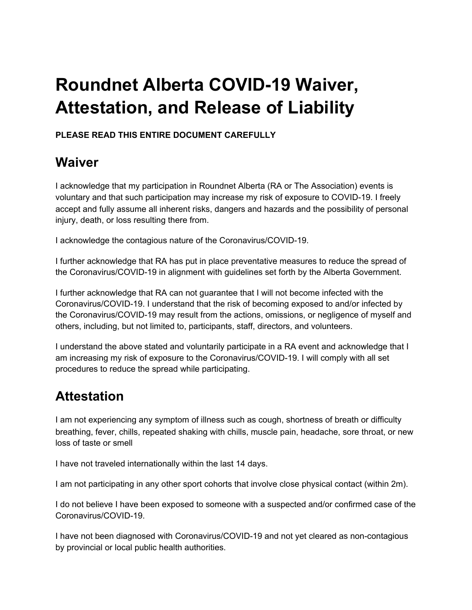# **Roundnet Alberta COVID-19 Waiver, Attestation, and Release of Liability**

#### **PLEASE READ THIS ENTIRE DOCUMENT CAREFULLY**

#### **Waiver**

I acknowledge that my participation in Roundnet Alberta (RA or The Association) events is voluntary and that such participation may increase my risk of exposure to COVID-19. I freely accept and fully assume all inherent risks, dangers and hazards and the possibility of personal injury, death, or loss resulting there from.

I acknowledge the contagious nature of the Coronavirus/COVID-19.

I further acknowledge that RA has put in place preventative measures to reduce the spread of the Coronavirus/COVID-19 in alignment with guidelines set forth by the Alberta Government.

I further acknowledge that RA can not guarantee that I will not become infected with the Coronavirus/COVID-19. I understand that the risk of becoming exposed to and/or infected by the Coronavirus/COVID-19 may result from the actions, omissions, or negligence of myself and others, including, but not limited to, participants, staff, directors, and volunteers.

I understand the above stated and voluntarily participate in a RA event and acknowledge that I am increasing my risk of exposure to the Coronavirus/COVID-19. I will comply with all set procedures to reduce the spread while participating.

### **Attestation**

I am not experiencing any symptom of illness such as cough, shortness of breath or difficulty breathing, fever, chills, repeated shaking with chills, muscle pain, headache, sore throat, or new loss of taste or smell

I have not traveled internationally within the last 14 days.

I am not participating in any other sport cohorts that involve close physical contact (within 2m).

I do not believe I have been exposed to someone with a suspected and/or confirmed case of the Coronavirus/COVID-19.

I have not been diagnosed with Coronavirus/COVID-19 and not yet cleared as non-contagious by provincial or local public health authorities.